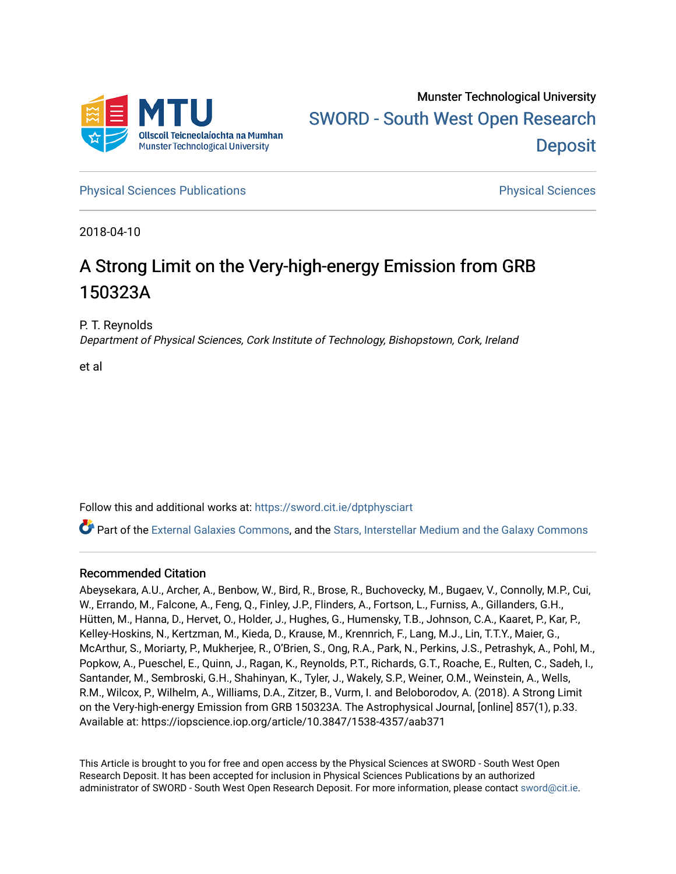

**[Physical Sciences Publications](https://sword.cit.ie/dptphysciart) Provide Access Publications Physical Sciences** Physical Sciences

2018-04-10

# A Strong Limit on the Very-high-energy Emission from GRB 150323A

P. T. Reynolds

Department of Physical Sciences, Cork Institute of Technology, Bishopstown, Cork, Ireland

et al

Follow this and additional works at: [https://sword.cit.ie/dptphysciart](https://sword.cit.ie/dptphysciart?utm_source=sword.cit.ie%2Fdptphysciart%2F93&utm_medium=PDF&utm_campaign=PDFCoverPages)

Part of the [External Galaxies Commons](http://network.bepress.com/hgg/discipline/128?utm_source=sword.cit.ie%2Fdptphysciart%2F93&utm_medium=PDF&utm_campaign=PDFCoverPages), and the [Stars, Interstellar Medium and the Galaxy Commons](http://network.bepress.com/hgg/discipline/127?utm_source=sword.cit.ie%2Fdptphysciart%2F93&utm_medium=PDF&utm_campaign=PDFCoverPages) 

# Recommended Citation

Abeysekara, A.U., Archer, A., Benbow, W., Bird, R., Brose, R., Buchovecky, M., Bugaev, V., Connolly, M.P., Cui, W., Errando, M., Falcone, A., Feng, Q., Finley, J.P., Flinders, A., Fortson, L., Furniss, A., Gillanders, G.H., Hütten, M., Hanna, D., Hervet, O., Holder, J., Hughes, G., Humensky, T.B., Johnson, C.A., Kaaret, P., Kar, P., Kelley-Hoskins, N., Kertzman, M., Kieda, D., Krause, M., Krennrich, F., Lang, M.J., Lin, T.T.Y., Maier, G., McArthur, S., Moriarty, P., Mukherjee, R., O'Brien, S., Ong, R.A., Park, N., Perkins, J.S., Petrashyk, A., Pohl, M., Popkow, A., Pueschel, E., Quinn, J., Ragan, K., Reynolds, P.T., Richards, G.T., Roache, E., Rulten, C., Sadeh, I., Santander, M., Sembroski, G.H., Shahinyan, K., Tyler, J., Wakely, S.P., Weiner, O.M., Weinstein, A., Wells, R.M., Wilcox, P., Wilhelm, A., Williams, D.A., Zitzer, B., Vurm, I. and Beloborodov, A. (2018). A Strong Limit on the Very-high-energy Emission from GRB 150323A. The Astrophysical Journal, [online] 857(1), p.33. Available at: https://iopscience.iop.org/article/10.3847/1538-4357/aab371

This Article is brought to you for free and open access by the Physical Sciences at SWORD - South West Open Research Deposit. It has been accepted for inclusion in Physical Sciences Publications by an authorized administrator of SWORD - South West Open Research Deposit. For more information, please contact [sword@cit.ie.](mailto:sword@cit.ie)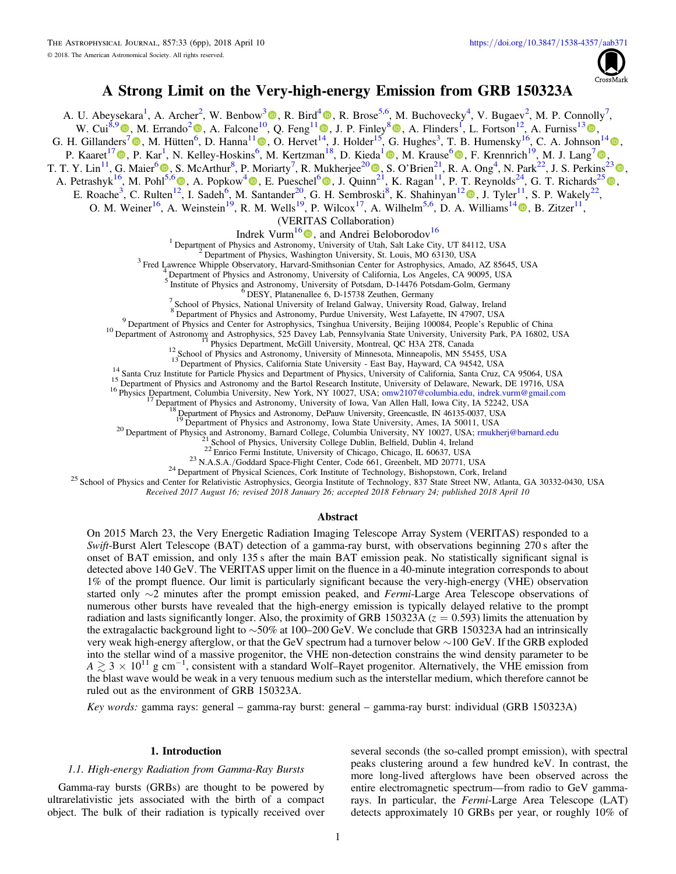

# A Strong Limit on the Very-high-energy Emission from GRB 150323A

A. U. Abeysekara<sup>1</sup>[,](https://orcid.org/0000-0003-2098-170X) A. Archer<sup>2</sup>, W. Benbow<sup>3</sup> <sup>O</sup>, R. Bird<sup>[4](https://orcid.org/0000-0002-4596-8563)</sup> <sup>O</sup>, R. Brose<sup>5,6</sup>, M. Buchovecky<sup>4</sup>, V. Bugaev<sup>2</sup>, M. P. Connolly<sup>7</sup>, W. Cui<sup>8,[9](https://orcid.org/0000-0002-6324-5772)</sup>  $\bullet$ , M. Errando<sup>[2](https://orcid.org/0000-0002-1853-863X)</sup>  $\bullet$ , A. Falcone<sup>1[0](https://orcid.org/0000-0003-2098-170X)</sup>, Q. Feng<sup>[1](https://orcid.org/0000-0001-6674-4238)1</sup>  $\bullet$ [,](https://orcid.org/0000-0003-1614-1273) J. P. Finley<sup>8</sup> $\bullet$ , A. Flinders<sup>1</sup>, L. Fortson<sup>12</sup>, A. Furniss<sup>1[3](https://orcid.org/0000-0003-1614-1273)</sup> $\bullet$ , G. H. Gillanders<sup>[7](https://orcid.org/0000-0001-8763-6252)</sup> $\bigcirc$ , M. Hütten<sup>[6](https://orcid.org/0000-0002-1853-863X)</sup>, D. Hanna<sup>[1](https://orcid.org/0000-0002-8513-5603)1</sup> $\bigcirc$ , O. Hervet<sup>[14](https://orcid.org/0000-0001-6674-4238)</sup>, J. Holder<sup>15</sup>, G. Hughes<sup>3</sup>, T. B. Humensky<sup>16</sup>, C. A. Johnson<sup>1[4](https://orcid.org/0000-0002-0641-7320)</sup> $\bigcirc$ [,](https://orcid.org/0000-0002-0641-7320) P. Kaaret<sup>1[7](https://orcid.org/0000-0003-4641-4201)</sup> (D[,](https://orcid.org/0000-0001-7595-0914) P. Kar<sup>1</sup>, N. Kelley-Hoskins<sup>[6](https://orcid.org/0000-0001-7595-0914)</sup>, M. Kertzman<sup>[1](https://orcid.org/0000-0003-4785-0101)8</sup>, D. Kieda<sup>1</sup> (D, M. Krause<sup>6</sup> (D, F. Krennrich<sup>19</sup>, M. J. Lang<sup>7</sup> (D, T. T. Y. Lin<sup>11</sup>, G. Maier<sup>[6](https://orcid.org/0000-0001-9868-4700)</sup>  $\bullet$ [,](https://orcid.org/0000-0001-9868-4700) S. McArthur<sup>8</sup>, P. Moriarty<sup>7</sup>, R. Mukherjee<sup>2[0](https://orcid.org/0000-0002-3223-0754)</sup> $\bullet$ , S. O'Brien<sup>[2](https://orcid.org/0000-0003-4641-4201)1</sup>, R. A. Ong<sup>4</sup>, N. Park<sup>22</sup>, J. S. Perkins<sup>2[3](https://orcid.org/0000-0001-9608-4023)</sup> $\bullet$ , A. Petrashyk<sup>16</sup>, M. Pohl<sup>[5](https://orcid.org/0000-0002-1408-807X),[6](https://orcid.org/0000-0002-0529-1973)</sup>  $\bullet$ [,](https://orcid.org/0000-0002-1408-807X) A. Popkow<sup>[4](https://orcid.org/0000-0002-3157-8839)</sup> $\bullet$ , E. Pueschel<sup>6</sup> $\bullet$ , J. Quinn<sup>[21](https://orcid.org/0000-0002-3223-0754)</sup>, K. Ragan<sup>11</sup>, P. T. Reynolds<sup>24</sup>, G. T. Richards<sup>25</sup> $\bullet$ , E. Roache<sup>3</sup>, C. Rulten<sup>[12](https://orcid.org/0000-0001-7861-1707)</sup>, I. Sadeh<sup>6</sup>, M. Santander<sup>[2](https://orcid.org/0000-0001-5128-4160)0</sup>, G. H. Sembroski<sup>8</sup>, K. Shahinyan<sup>12</sup> (0, J. Tyler<sup>11</sup>, S. P. Wakely<sup>22</sup>, O. M. Weiner<sup>16</sup>, A. Weinstein<sup>19</sup>, R. M. Wells<sup>19</sup>, P. Wilcox<sup>17</sup>, A. Wilhelm<sup>5,6</sup>, D. A. Williams<sup>1[4](https://orcid.org/0000-0003-2740-9714)</sup> (0, B. Zitzer<sup>11</sup>, (VERITAS Collaboration)

**Indrek Vurm<sup>1[6](https://orcid.org/0000-0003-1336-4746)</sup> (D)**, and Andrei Beloborodov<sup>16</sup><br><sup>1</sup> Department of Physics and Astronomy, University of Utah, Salt Lake City, UT 84112, USA

<sup>2</sup> Department of Physics, Washington University, St. Louis, MO 63130, USA<br><sup>3</sup> Fred Lawrence Whipple Observatory, Harvard-Smithsonian Center for Astrophysics, Amado, AZ 85645, USA<br><sup>4</sup> Department of Physics and Astronomy, U

For Summary Summary Summary Summary Summary Summary<br>
Summary Summary Summary Summary Summary Summary Summary Summary Summary Summary Summary Summary Summary Summary Summary Summary Summary Summary Summary Summary Summary S

<sup>9</sup> Department of Physics and Center for Astrophysics, Tsinghua University, Beijing 100084, People's Republic of China<br>
10 Department of Astronomy and Astrophysics, 525 Davey Lab, Pennsylvania State University, University

<sup>20</sup> Department of Physics and Astronomy, Barnard College, Columbia University, NY 10027, USA; mukherj@barnard.edu<br><sup>21</sup> School of Physics, University College Dublin, Belfield, Dublin 4, Ireland<br><sup>22</sup> Enrico Fermi Institute

Received 2017 August 16; revised 2018 January 26; accepted 2018 February 24; published 2018 April 10

#### Abstract

On 2015 March 23, the Very Energetic Radiation Imaging Telescope Array System (VERITAS) responded to a Swift-Burst Alert Telescope (BAT) detection of a gamma-ray burst, with observations beginning 270 s after the onset of BAT emission, and only 135 s after the main BAT emission peak. No statistically significant signal is detected above 140 GeV. The VERITAS upper limit on the fluence in a 40-minute integration corresponds to about 1% of the prompt fluence. Our limit is particularly significant because the very-high-energy (VHE) observation started only ∼2 minutes after the prompt emission peaked, and Fermi-Large Area Telescope observations of numerous other bursts have revealed that the high-energy emission is typically delayed relative to the prompt radiation and lasts significantly longer. Also, the proximity of GRB 150323A ( $z = 0.593$ ) limits the attenuation by the extragalactic background light to ∼50% at 100–200 GeV. We conclude that GRB 150323A had an intrinsically very weak high-energy afterglow, or that the GeV spectrum had a turnover below ∼100 GeV. If the GRB exploded into the stellar wind of a massive progenitor, the VHE non-detection constrains the wind density parameter to be  $A \gtrsim 3 \times 10^{11}$  g cm<sup>-1</sup>, consistent with a standard Wolf–Rayet progenitor. Alternatively, the VHE emission from the blast wave would be weak in a very tenuous medium such as the interstellar medium, which therefore cannot be ruled out as the environment of GRB 150323A.

Key words: gamma rays: general – gamma-ray burst: general – gamma-ray burst: individual (GRB 150323A)

#### 1. Introduction

### 1.1. High-energy Radiation from Gamma-Ray Bursts

Gamma-ray bursts (GRBs) are thought to be powered by ultrarelativistic jets associated with the birth of a compact object. The bulk of their radiation is typically received over

several seconds (the so-called prompt emission), with spectral peaks clustering around a few hundred keV. In contrast, the more long-lived afterglows have been observed across the entire electromagnetic spectrum—from radio to GeV gammarays. In particular, the Fermi-Large Area Telescope (LAT) detects approximately 10 GRBs per year, or roughly 10% of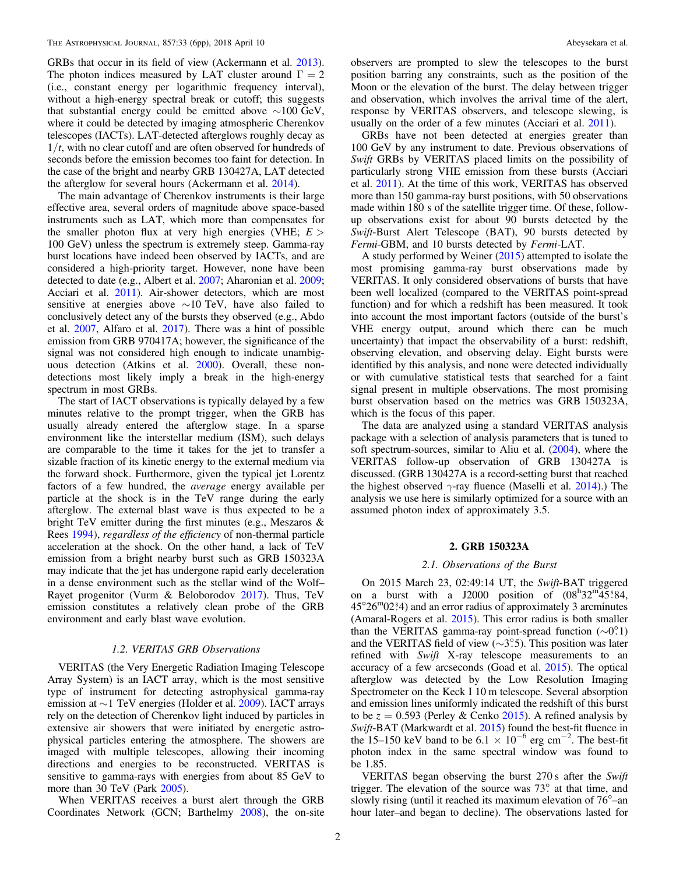GRBs that occur in its field of view (Ackermann et al. [2013](#page-6-0)). The photon indices measured by LAT cluster around  $\Gamma = 2$ (i.e., constant energy per logarithmic frequency interval), without a high-energy spectral break or cutoff; this suggests that substantial energy could be emitted above ∼100 GeV, where it could be detected by imaging atmospheric Cherenkov telescopes (IACTs). LAT-detected afterglows roughly decay as  $1/t$ , with no clear cutoff and are often observed for hundreds of seconds before the emission becomes too faint for detection. In the case of the bright and nearby GRB 130427A, LAT detected the afterglow for several hours (Ackermann et al. [2014](#page-6-0)).

The main advantage of Cherenkov instruments is their large effective area, several orders of magnitude above space-based instruments such as LAT, which more than compensates for the smaller photon flux at very high energies (VHE;  $E >$ 100 GeV) unless the spectrum is extremely steep. Gamma-ray burst locations have indeed been observed by IACTs, and are considered a high-priority target. However, none have been detected to date (e.g., Albert et al. [2007;](#page-6-0) Aharonian et al. [2009](#page-6-0); Acciari et al. [2011](#page-6-0)). Air-shower detectors, which are most sensitive at energies above ∼10 TeV, have also failed to conclusively detect any of the bursts they observed (e.g., Abdo et al. [2007](#page-6-0), Alfaro et al. [2017](#page-6-0)). There was a hint of possible emission from GRB 970417A; however, the significance of the signal was not considered high enough to indicate unambiguous detection (Atkins et al. [2000](#page-6-0)). Overall, these nondetections most likely imply a break in the high-energy spectrum in most GRBs.

The start of IACT observations is typically delayed by a few minutes relative to the prompt trigger, when the GRB has usually already entered the afterglow stage. In a sparse environment like the interstellar medium (ISM), such delays are comparable to the time it takes for the jet to transfer a sizable fraction of its kinetic energy to the external medium via the forward shock. Furthermore, given the typical jet Lorentz factors of a few hundred, the average energy available per particle at the shock is in the TeV range during the early afterglow. The external blast wave is thus expected to be a bright TeV emitter during the first minutes (e.g., Meszaros & Rees [1994](#page-6-0)), regardless of the efficiency of non-thermal particle acceleration at the shock. On the other hand, a lack of TeV emission from a bright nearby burst such as GRB 150323A may indicate that the jet has undergone rapid early deceleration in a dense environment such as the stellar wind of the Wolf– Rayet progenitor (Vurm & Beloborodov [2017](#page-6-0)). Thus, TeV emission constitutes a relatively clean probe of the GRB environment and early blast wave evolution.

#### 1.2. VERITAS GRB Observations

VERITAS (the Very Energetic Radiation Imaging Telescope Array System) is an IACT array, which is the most sensitive type of instrument for detecting astrophysical gamma-ray emission at ∼1 TeV energies (Holder et al. [2009](#page-6-0)). IACT arrays rely on the detection of Cherenkov light induced by particles in extensive air showers that were initiated by energetic astrophysical particles entering the atmosphere. The showers are imaged with multiple telescopes, allowing their incoming directions and energies to be reconstructed. VERITAS is sensitive to gamma-rays with energies from about 85 GeV to more than 30 TeV (Park [2005](#page-6-0)).

When VERITAS receives a burst alert through the GRB Coordinates Network (GCN; Barthelmy [2008](#page-6-0)), the on-site

observers are prompted to slew the telescopes to the burst position barring any constraints, such as the position of the Moon or the elevation of the burst. The delay between trigger and observation, which involves the arrival time of the alert, response by VERITAS observers, and telescope slewing, is usually on the order of a few minutes (Acciari et al. [2011](#page-6-0)).

GRBs have not been detected at energies greater than 100 GeV by any instrument to date. Previous observations of Swift GRBs by VERITAS placed limits on the possibility of particularly strong VHE emission from these bursts (Acciari et al. [2011](#page-6-0)). At the time of this work, VERITAS has observed more than 150 gamma-ray burst positions, with 50 observations made within 180 s of the satellite trigger time. Of these, followup observations exist for about 90 bursts detected by the Swift-Burst Alert Telescope (BAT), 90 bursts detected by Fermi-GBM, and 10 bursts detected by Fermi-LAT.

A study performed by Weiner ([2015](#page-6-0)) attempted to isolate the most promising gamma-ray burst observations made by VERITAS. It only considered observations of bursts that have been well localized (compared to the VERITAS point-spread function) and for which a redshift has been measured. It took into account the most important factors (outside of the burst's VHE energy output, around which there can be much uncertainty) that impact the observability of a burst: redshift, observing elevation, and observing delay. Eight bursts were identified by this analysis, and none were detected individually or with cumulative statistical tests that searched for a faint signal present in multiple observations. The most promising burst observation based on the metrics was GRB 150323A, which is the focus of this paper.

The data are analyzed using a standard VERITAS analysis package with a selection of analysis parameters that is tuned to soft spectrum-sources, similar to Aliu et al. ([2004](#page-6-0)), where the VERITAS follow-up observation of GRB 130427A is discussed. (GRB 130427A is a record-setting burst that reached the highest observed  $\gamma$ -ray fluence (Maselli et al. [2014](#page-6-0)).) The analysis we use here is similarly optimized for a source with an assumed photon index of approximately 3.5.

# 2. GRB 150323A

## 2.1. Observations of the Burst

On 2015 March 23, 02:49:14 UT, the Swift-BAT triggered on a burst with a J2000 position of  $(08^{\text{h}}32^{\text{m}}45^{\text{s}}84,$  $45^{\circ}26^{\circ}02^{\circ}4$ ) and an error radius of approximately 3 arcminutes (Amaral-Rogers et al. [2015](#page-6-0)). This error radius is both smaller than the VERITAS gamma-ray point-spread function (∼0°.1) and the VERITAS field of view (∼3°.5). This position was later refined with Swift X-ray telescope measurements to an accuracy of a few arcseconds (Goad et al. [2015](#page-6-0)). The optical afterglow was detected by the Low Resolution Imaging Spectrometer on the Keck I 10 m telescope. Several absorption and emission lines uniformly indicated the redshift of this burst to be  $z = 0.593$  (Perley & Cenko [2015](#page-6-0)). A refined analysis by Swift-BAT (Markwardt et al. [2015](#page-6-0)) found the best-fit fluence in the 15–150 keV band to be 6.1  $\times$  10<sup>-6</sup> erg cm<sup>-2</sup>. The best-fit photon index in the same spectral window was found to be 1.85.

VERITAS began observing the burst 270 s after the Swift trigger. The elevation of the source was 73°. at that time, and slowly rising (until it reached its maximum elevation of 76°–an hour later–and began to decline). The observations lasted for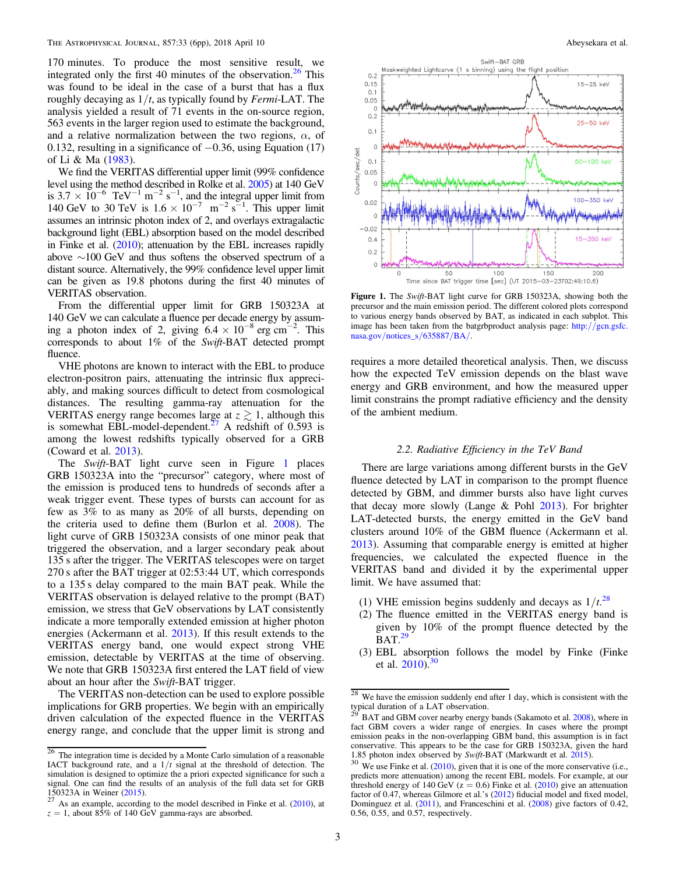170 minutes. To produce the most sensitive result, we integrated only the first 40 minutes of the observation.<sup>26</sup> This was found to be ideal in the case of a burst that has a flux roughly decaying as  $1/t$ , as typically found by *Fermi*-LAT. The analysis yielded a result of 71 events in the on-source region, 563 events in the larger region used to estimate the background, and a relative normalization between the two regions,  $\alpha$ , of 0.132, resulting in a significance of −0.36, using Equation (17) of Li & Ma ([1983](#page-6-0)).

We find the VERITAS differential upper limit (99% confidence level using the method described in Rolke et al. [2005](#page-6-0)) at 140 GeV is 3.7  $\times$  10<sup>-6</sup> TeV<sup>-1</sup> m<sup>-2</sup> s<sup>-1</sup>, and the integral upper limit from 140 GeV to 30 TeV is  $1.6 \times 10^{-7}$  m<sup>-2</sup> s<sup>-1</sup>. This upper limit assumes an intrinsic photon index of 2, and overlays extragalactic background light (EBL) absorption based on the model described in Finke et al. ([2010](#page-6-0)); attenuation by the EBL increases rapidly above ∼100 GeV and thus softens the observed spectrum of a distant source. Alternatively, the 99% confidence level upper limit can be given as 19.8 photons during the first 40 minutes of VERITAS observation.

From the differential upper limit for GRB 150323A at 140 GeV we can calculate a fluence per decade energy by assuming a photon index of 2, giving  $6.4 \times 10^{-8}$  erg cm<sup>-2</sup>. This corresponds to about 1% of the Swift-BAT detected prompt fluence.

VHE photons are known to interact with the EBL to produce electron-positron pairs, attenuating the intrinsic flux appreciably, and making sources difficult to detect from cosmological distances. The resulting gamma-ray attenuation for the VERITAS energy range becomes large at  $z \gtrsim 1$ , although this is somewhat EBL-model-dependent.<sup>27</sup> A redshift of  $0.593$  is among the lowest redshifts typically observed for a GRB (Coward et al. [2013](#page-6-0)).

The Swift-BAT light curve seen in Figure 1 places GRB 150323A into the "precursor" category, where most of the emission is produced tens to hundreds of seconds after a weak trigger event. These types of bursts can account for as few as 3% to as many as 20% of all bursts, depending on the criteria used to define them (Burlon et al. [2008](#page-6-0)). The light curve of GRB 150323A consists of one minor peak that triggered the observation, and a larger secondary peak about 135 s after the trigger. The VERITAS telescopes were on target 270 s after the BAT trigger at 02:53:44 UT, which corresponds to a 135 s delay compared to the main BAT peak. While the VERITAS observation is delayed relative to the prompt (BAT) emission, we stress that GeV observations by LAT consistently indicate a more temporally extended emission at higher photon energies (Ackermann et al. [2013](#page-6-0)). If this result extends to the VERITAS energy band, one would expect strong VHE emission, detectable by VERITAS at the time of observing. We note that GRB 150323A first entered the LAT field of view about an hour after the Swift-BAT trigger.

The VERITAS non-detection can be used to explore possible implications for GRB properties. We begin with an empirically driven calculation of the expected fluence in the VERITAS energy range, and conclude that the upper limit is strong and



Figure 1. The Swift-BAT light curve for GRB 150323A, showing both the precursor and the main emission period. The different colored plots correspond to various energy bands observed by BAT, as indicated in each subplot. This image has been taken from the batgrbproduct analysis page: http://[gcn.gsfc.](http://gcn.gsfc.nasa.gov/notices_s/635887/BA/) nasa.gov/[notices\\_s](http://gcn.gsfc.nasa.gov/notices_s/635887/BA/)/635887/BA/.

requires a more detailed theoretical analysis. Then, we discuss how the expected TeV emission depends on the blast wave energy and GRB environment, and how the measured upper limit constrains the prompt radiative efficiency and the density of the ambient medium.

## 2.2. Radiative Efficiency in the TeV Band

There are large variations among different bursts in the GeV fluence detected by LAT in comparison to the prompt fluence detected by GBM, and dimmer bursts also have light curves that decay more slowly (Lange & Pohl [2013](#page-6-0)). For brighter LAT-detected bursts, the energy emitted in the GeV band clusters around 10% of the GBM fluence (Ackermann et al. [2013](#page-6-0)). Assuming that comparable energy is emitted at higher frequencies, we calculated the expected fluence in the VERITAS band and divided it by the experimental upper limit. We have assumed that:

- (1) VHE emission begins suddenly and decays as  $1/t^{28}$
- (2) The fluence emitted in the VERITAS energy band is given by 10% of the prompt fluence detected by the BAT.<sup>29</sup>
- (3) EBL absorption follows the model by Finke (Finke et al.  $2010$ .<sup>30</sup>

 $\frac{26}{26}$  The integration time is decided by a Monte Carlo simulation of a reasonable IACT background rate, and a  $1/t$  signal at the threshold of detection. The simulation is designed to optimize the a priori expected significance for such a signal. One can find the results of an analysis of the full data set for GRB 150323A in Weiner  $(2015)$ .

 $127$  As an example, according to the model described in Finke et al. ([2010](#page-6-0)), at  $z = 1$ , about 85% of 140 GeV gamma-rays are absorbed.

 $\frac{28}{28}$  We have the emission suddenly end after 1 day, which is consistent with the typical duration of a LAT observation.

BAT and GBM cover nearby energy bands (Sakamoto et al. [2008](#page-6-0)), where in fact GBM covers a wider range of energies. In cases where the prompt emission peaks in the non-overlapping GBM band, this assumption is in fact conservative. This appears to be the case for GRB 150323A, given the hard 1.85 photon index observed by *Swift*-BAT (Markwardt et al. 2015).

 $10^{30}$  We use Finke et al. ([2010](#page-6-0)), given that it is one of the more conservative (i.e., predicts more attenuation) among the recent EBL models. For example, at our threshold energy of 140 GeV ( $z = 0.6$ ) Finke et al. ([2010](#page-6-0)) give an attenuation factor of 0.47, whereas Gilmore et al.'s ([2012](#page-6-0)) fiducial model and fixed model, Dominguez et al. ([2011](#page-6-0)), and Franceschini et al. ([2008](#page-6-0)) give factors of 0.42, 0.56, 0.55, and 0.57, respectively.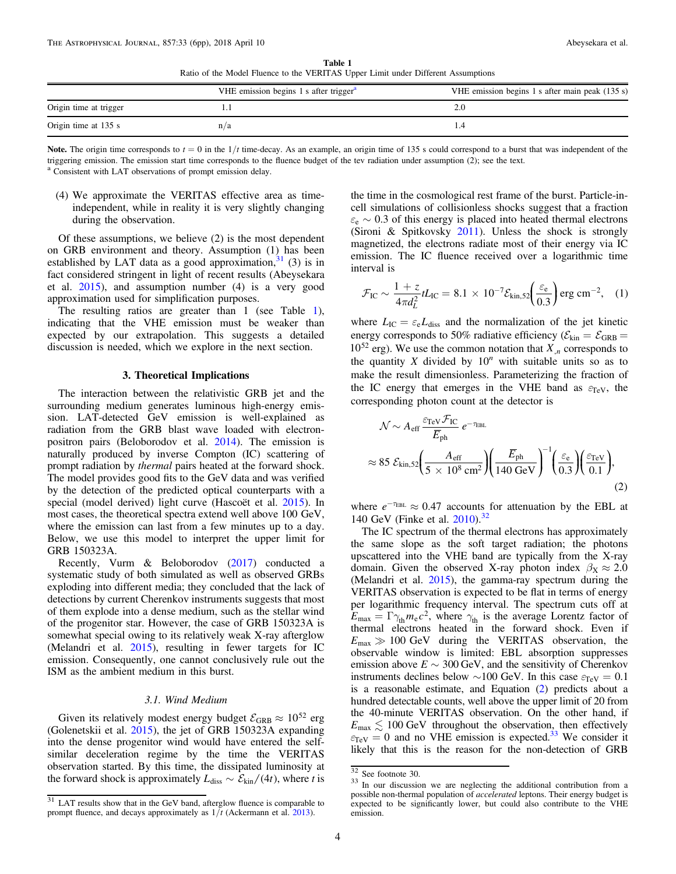Table 1 Ratio of the Model Fluence to the VERITAS Upper Limit under Different Assumptions

<span id="page-4-0"></span>

|                        | VHE emission begins 1 s after trigger $a$ | VHE emission begins 1 s after main peak (135 s) |
|------------------------|-------------------------------------------|-------------------------------------------------|
| Origin time at trigger |                                           |                                                 |
| Origin time at 135 s   | n/a                                       |                                                 |

Note. The origin time corresponds to  $t = 0$  in the  $1/t$  time-decay. As an example, an origin time of 135 s could correspond to a burst that was independent of the triggering emission. The emission start time corresponds to the fluence budget of the tev radiation under assumption (2); see the text. a Consistent with LAT observations of prompt emission delay.

(4) We approximate the VERITAS effective area as timeindependent, while in reality it is very slightly changing during the observation.

Of these assumptions, we believe (2) is the most dependent on GRB environment and theory. Assumption (1) has been established by LAT data as a good approximation,  $31$  (3) is in fact considered stringent in light of recent results (Abeysekara et al. [2015](#page-6-0)), and assumption number (4) is a very good approximation used for simplification purposes.

The resulting ratios are greater than 1 (see Table 1), indicating that the VHE emission must be weaker than expected by our extrapolation. This suggests a detailed discussion is needed, which we explore in the next section.

### 3. Theoretical Implications

The interaction between the relativistic GRB jet and the surrounding medium generates luminous high-energy emission. LAT-detected GeV emission is well-explained as radiation from the GRB blast wave loaded with electronpositron pairs (Beloborodov et al. [2014](#page-6-0)). The emission is naturally produced by inverse Compton (IC) scattering of prompt radiation by thermal pairs heated at the forward shock. The model provides good fits to the GeV data and was verified by the detection of the predicted optical counterparts with a special (model derived) light curve (Hascoët et al. [2015](#page-6-0)). In most cases, the theoretical spectra extend well above 100 GeV, where the emission can last from a few minutes up to a day. Below, we use this model to interpret the upper limit for GRB 150323A.

Recently, Vurm & Beloborodov ([2017](#page-6-0)) conducted a systematic study of both simulated as well as observed GRBs exploding into different media; they concluded that the lack of detections by current Cherenkov instruments suggests that most of them explode into a dense medium, such as the stellar wind of the progenitor star. However, the case of GRB 150323A is somewhat special owing to its relatively weak X-ray afterglow (Melandri et al. [2015](#page-6-0)), resulting in fewer targets for IC emission. Consequently, one cannot conclusively rule out the ISM as the ambient medium in this burst.

# 3.1. Wind Medium

Given its relatively modest energy budget  $\mathcal{E}_{\text{GRB}} \approx 10^{52}$  erg (Golenetskii et al. [2015](#page-6-0)), the jet of GRB 150323A expanding into the dense progenitor wind would have entered the selfsimilar deceleration regime by the time the VERITAS observation started. By this time, the dissipated luminosity at the forward shock is approximately  $L_{\text{diss}} \sim \mathcal{E}_{\text{kin}} / (4t)$ , where t is the time in the cosmological rest frame of the burst. Particle-incell simulations of collisionless shocks suggest that a fraction  $\varepsilon_e \sim 0.3$  of this energy is placed into heated thermal electrons (Sironi & Spitkovsky [2011](#page-6-0)). Unless the shock is strongly magnetized, the electrons radiate most of their energy via IC emission. The IC fluence received over a logarithmic time interval is

$$
\mathcal{F}_{\rm IC} \sim \frac{1+z}{4\pi d_L^2} t L_{\rm IC} = 8.1 \times 10^{-7} \mathcal{E}_{\rm kin,52} \left( \frac{\varepsilon_{\rm e}}{0.3} \right) \rm erg \, cm^{-2}, \quad (1)
$$

where  $L_{\text{IC}} = \varepsilon_e L_{\text{diss}}$  and the normalization of the jet kinetic energy corresponds to 50% radiative efficiency ( $\mathcal{E}_{kin} = \mathcal{E}_{GRB}$  =  $10^{52}$  erg). We use the common notation that  $X_n$  corresponds to the quantity X divided by  $10^n$  with suitable units so as to make the result dimensionless. Parameterizing the fraction of the IC energy that emerges in the VHE band as  $\varepsilon_{\text{TeV}}$ , the corresponding photon count at the detector is

$$
\mathcal{N} \sim A_{\rm eff} \frac{\varepsilon_{\rm TeV} \mathcal{F}_{\rm IC}}{\overline{E}_{\rm ph}} e^{-\tau_{\rm EBL}}
$$
  

$$
\approx 85 \mathcal{E}_{\rm kin,52} \left( \frac{A_{\rm eff}}{5 \times 10^8 \text{ cm}^2} \right) \left( \frac{\overline{E}_{\rm ph}}{140 \text{ GeV}} \right)^{-1} \left( \frac{\varepsilon_{\rm e}}{0.3} \right) \left( \frac{\varepsilon_{\rm TeV}}{0.1} \right), \tag{2}
$$

where  $e^{-\tau_{\text{EBL}}} \approx 0.47$  accounts for attenuation by the EBL at 140 GeV (Finke et al. [2010](#page-6-0)). 32

The IC spectrum of the thermal electrons has approximately the same slope as the soft target radiation; the photons upscattered into the VHE band are typically from the X-ray domain. Given the observed X-ray photon index  $\beta_X \approx 2.0$ (Melandri et al. [2015](#page-6-0)), the gamma-ray spectrum during the VERITAS observation is expected to be flat in terms of energy per logarithmic frequency interval. The spectrum cuts off at  $E_{\text{max}} = \Gamma \gamma_{\text{th}} m_{\text{e}} c^2$ , where  $\gamma_{\text{th}}$  is the average Lorentz factor of thermal electrons heated in the forward shock. Even if  $E_{\text{max}} \gg 100 \text{ GeV}$  during the VERITAS observation, the observable window is limited: EBL absorption suppresses emission above  $E \sim 300 \,\text{GeV}$ , and the sensitivity of Cherenkov instruments declines below  $\sim$ 100 GeV. In this case  $\varepsilon_{\text{TeV}} = 0.1$ is a reasonable estimate, and Equation (2) predicts about a hundred detectable counts, well above the upper limit of 20 from the 40-minute VERITAS observation. On the other hand, if  $E_{\text{max}} \lesssim 100 \text{ GeV}$  throughout the observation, then effectively  $\varepsilon_{\text{TeV}} = 0$  and no VHE emission is expected.<sup>33</sup> We consider it likely that this is the reason for the non-detection of GRB

 $31$  LAT results show that in the GeV band, afterglow fluence is comparable to prompt fluence, and decays approximately as  $1/t$  (Ackermann et al. [2013](#page-6-0)).

 $\frac{32}{33}$  See footnote 30.<br>33 In our discussion we are neglecting the additional contribution from a possible non-thermal population of *accelerated* leptons. Their energy budget is expected to be significantly lower, but could also contribute to the VHE emission.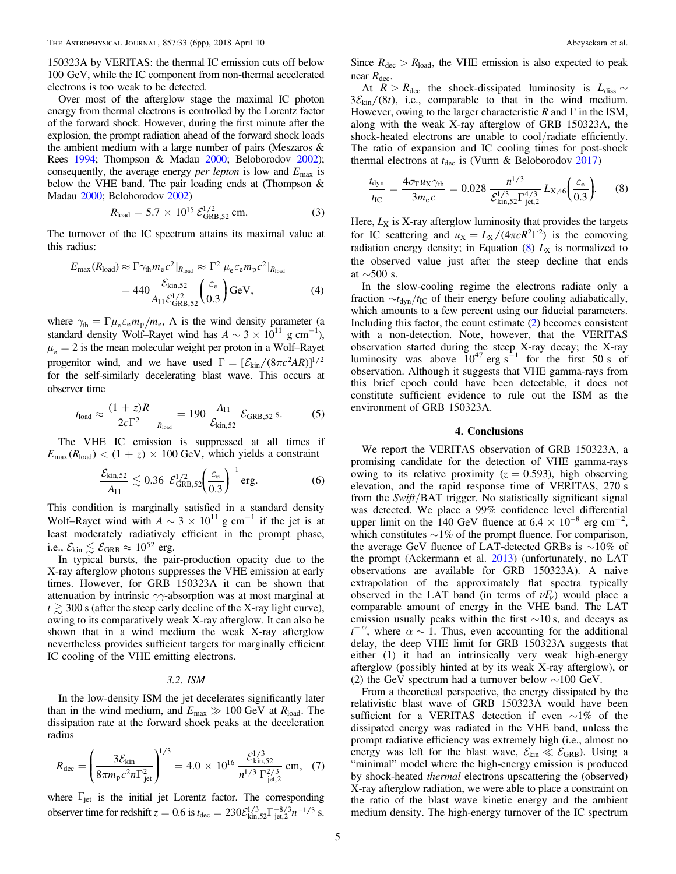150323A by VERITAS: the thermal IC emission cuts off below 100 GeV, while the IC component from non-thermal accelerated electrons is too weak to be detected.

Over most of the afterglow stage the maximal IC photon energy from thermal electrons is controlled by the Lorentz factor of the forward shock. However, during the first minute after the explosion, the prompt radiation ahead of the forward shock loads the ambient medium with a large number of pairs (Meszaros & Rees [1994](#page-6-0); Thompson & Madau [2000](#page-6-0); Beloborodov [2002](#page-6-0)); consequently, the average energy per lepton is low and *E*max is below the VHE band. The pair loading ends at (Thompson & Madau [2000](#page-6-0); Beloborodov [2002](#page-6-0))

$$
R_{\text{load}} = 5.7 \times 10^{15} \, \mathcal{E}_{\text{GRB}, 52}^{1/2} \text{ cm.} \tag{3}
$$

The turnover of the IC spectrum attains its maximal value at this radius:

$$
E_{\text{max}}(R_{\text{load}}) \approx \Gamma \gamma_{\text{th}} m_{\text{e}} c^2 |_{R_{\text{load}}} \approx \Gamma^2 \mu_{\text{e}} \varepsilon_{\text{e}} m_{\text{p}} c^2 |_{R_{\text{load}}}
$$
  
= 
$$
440 \frac{\mathcal{E}_{\text{kin},52}}{A_{11} \mathcal{E}_{\text{GRB},52}^{1/2}} \left(\frac{\varepsilon_{\text{e}}}{0.3}\right) \text{GeV},
$$
 (4)

where  $\gamma_{\text{th}} = \Gamma \mu_{\text{e}} \varepsilon_{\text{e}} m_{\text{p}} / m_{\text{e}}$ , A is the wind density parameter (a standard density Wolf–Rayet wind has  $A \sim 3 \times 10^{11}$  g cm<sup>-1</sup>),  $\mu_e = 2$  is the mean molecular weight per proton in a Wolf–Rayet progenitor wind, and we have used  $\Gamma = [\mathcal{E}_{kin} / (8\pi c^2 AR)]^{1/2}$ for the self-similarly decelerating blast wave. This occurs at observer time

$$
t_{\text{load}} \approx \frac{(1+z)R}{2c\Gamma^2} \bigg|_{R_{\text{load}}} = 190 \frac{A_{11}}{\mathcal{E}_{\text{kin},52}} \mathcal{E}_{\text{GRB},52} \text{ s.}
$$
 (5)

The VHE IC emission is suppressed at all times if  $E_{\text{max}}(R_{\text{load}}) < (1 + z) \times 100 \text{ GeV}$ , which yields a constraint

$$
\frac{\mathcal{E}_{\text{kin,52}}}{A_{11}} \lesssim 0.36 \ \mathcal{E}_{\text{GRB,52}}^{1/2} \left(\frac{\varepsilon_{\text{e}}}{0.3}\right)^{-1} \text{erg.}
$$

This condition is marginally satisfied in a standard density Wolf–Rayet wind with  $A \sim 3 \times 10^{11}$  g cm<sup>-1</sup> if the jet is at least moderately radiatively efficient in the prompt phase, i.e.,  $\mathcal{E}_{kin} \lesssim \mathcal{E}_{GRB} \approx 10^{52}$  erg.

In typical bursts, the pair-production opacity due to the X-ray afterglow photons suppresses the VHE emission at early times. However, for GRB 150323A it can be shown that attenuation by intrinsic  $\gamma\gamma$ -absorption was at most marginal at  $t \gtrsim 300$  s (after the steep early decline of the X-ray light curve), owing to its comparatively weak X-ray afterglow. It can also be shown that in a wind medium the weak X-ray afterglow nevertheless provides sufficient targets for marginally efficient IC cooling of the VHE emitting electrons.

## 3.2. ISM

In the low-density ISM the jet decelerates significantly later than in the wind medium, and  $E_{\text{max}} \gg 100 \text{ GeV}$  at  $R_{\text{load}}$ . The dissipation rate at the forward shock peaks at the deceleration radius

$$
R_{\text{dec}} = \left(\frac{3\mathcal{E}_{\text{kin}}}{8\pi m_{\text{p}}c^2n\Gamma_{\text{jet}}^2}\right)^{1/3} = 4.0 \times 10^{16} \frac{\mathcal{E}_{\text{kin},52}^{1/3}}{n^{1/3} \Gamma_{\text{jet},2}^{2/3}} \text{ cm}, \quad (7)
$$

where  $\Gamma_{\text{jet}}$  is the initial jet Lorentz factor. The corresponding observer time for redshift  $z = 0.6$  is  $t_{\text{dec}} = 230 \mathcal{E}_{\text{kin,52}}^{1/3} \Gamma_{\text{jet,2}}^{-8/3} n^{-1/3}$  s. Since  $R_{\text{dec}} > R_{\text{load}}$ , the VHE emission is also expected to peak near  $R_{\text{dec}}$ .

At  $R > R_{\text{dec}}$  the shock-dissipated luminosity is  $L_{\text{diss}} \sim$  $3\mathcal{E}_{\text{kin}}/(8t)$ , i.e., comparable to that in the wind medium. However, owing to the larger characteristic R and  $\Gamma$  in the ISM, along with the weak X-ray afterglow of GRB 150323A, the shock-heated electrons are unable to cool/radiate efficiently. The ratio of expansion and IC cooling times for post-shock thermal electrons at  $t_{\text{dec}}$  is (Vurm & Beloborodov [2017](#page-6-0))

$$
\frac{t_{\text{dyn}}}{t_{\text{IC}}} = \frac{4\sigma_{\text{T}}u_{\text{X}}\gamma_{\text{th}}}{3m_{\text{e}}c} = 0.028 \frac{n^{1/3}}{\mathcal{E}_{\text{kin},52}^{1/3}\Gamma_{\text{jet},2}^{4/3}} L_{\text{X},46} \bigg(\frac{\varepsilon_{\text{e}}}{0.3}\bigg). \tag{8}
$$

Here,  $L_X$  is X-ray afterglow luminosity that provides the targets for IC scattering and  $u_X = L_X/(4\pi cR^2\Gamma^2)$  is the comoving radiation energy density; in Equation  $(8)$   $L_X$  is normalized to the observed value just after the steep decline that ends at ∼500 s.

In the slow-cooling regime the electrons radiate only a fraction  $\sim t_{\text{dyn}}/t_{\text{IC}}$  of their energy before cooling adiabatically, which amounts to a few percent using our fiducial parameters. Including this factor, the count estimate ([2](#page-4-0)) becomes consistent with a non-detection. Note, however, that the VERITAS observation started during the steep X-ray decay; the X-ray luminosity was above  $10^{47}$  erg s<sup> $-1$ </sup> for the first 50 s of observation. Although it suggests that VHE gamma-rays from this brief epoch could have been detectable, it does not constitute sufficient evidence to rule out the ISM as the environment of GRB 150323A.

#### 4. Conclusions

We report the VERITAS observation of GRB 150323A, a promising candidate for the detection of VHE gamma-rays owing to its relative proximity ( $z = 0.593$ ), high observing elevation, and the rapid response time of VERITAS, 270 s from the Swift/BAT trigger. No statistically significant signal was detected. We place a 99% confidence level differential upper limit on the 140 GeV fluence at  $6.4 \times 10^{-8}$  erg cm<sup>-2</sup>, which constitutes  $\sim$ 1% of the prompt fluence. For comparison, the average GeV fluence of LAT-detected GRBs is  $\sim$ 10% of the prompt (Ackermann et al. [2013](#page-6-0)) (unfortunately, no LAT observations are available for GRB 150323A). A naive extrapolation of the approximately flat spectra typically observed in the LAT band (in terms of  $\nu F_\nu$ ) would place a comparable amount of energy in the VHE band. The LAT emission usually peaks within the first ∼10 s, and decays as  $t^{-\alpha}$ , where  $\alpha \sim 1$ . Thus, even accounting for the additional delay, the deep VHE limit for GRB 150323A suggests that either (1) it had an intrinsically very weak high-energy afterglow (possibly hinted at by its weak X-ray afterglow), or (2) the GeV spectrum had a turnover below ∼100 GeV.

From a theoretical perspective, the energy dissipated by the relativistic blast wave of GRB 150323A would have been sufficient for a VERITAS detection if even ∼1% of the dissipated energy was radiated in the VHE band, unless the prompt radiative efficiency was extremely high (i.e., almost no energy was left for the blast wave,  $\mathcal{E}_{kin} \ll \mathcal{E}_{GRB}$ ). Using a "minimal" model where the high-energy emission is produced by shock-heated thermal electrons upscattering the (observed) X-ray afterglow radiation, we were able to place a constraint on the ratio of the blast wave kinetic energy and the ambient medium density. The high-energy turnover of the IC spectrum